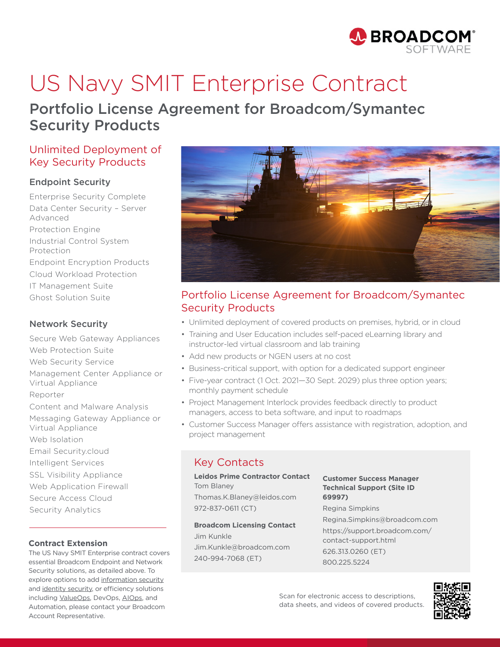

# US Navy SMIT Enterprise Contract

# Portfolio License Agreement for Broadcom/Symantec Security Products

## Unlimited Deployment of Key Security Products

#### Endpoint Security

Enterprise Security Complete Data Center Security – Server Advanced Protection Engine Industrial Control System Protection Endpoint Encryption Products Cloud Workload Protection IT Management Suite Ghost Solution Suite

#### Network Security

Secure Web Gateway Appliances Web Protection Suite Web Security Service Management Center Appliance or Virtual Appliance Reporter Content and Malware Analysis Messaging Gateway Appliance or Virtual Appliance Web Isolation Email Security.cloud Intelligent Services SSL Visibility Appliance Web Application Firewall Secure Access Cloud Security Analytics

#### **Contract Extension**

The US Navy SMIT Enterprise contract covers essential Broadcom Endpoint and Network Security solutions, as detailed above. To explore options to add [information security](https://software.broadcom.com/bsg-fed-solutions#Information_Security) and [identity security](https://software.broadcom.com/bsg-fed-solutions#Identity_Security), or efficiency solutions including [ValueOps](https://software.broadcom.com/bsg-fed-solutions#ValueOps_Scurity), DevOps, [AIOps](https://software.broadcom.com/bsg-fed-solutions#AIOps_Security), and Automation, please contact your Broadcom Account Representative.



## Portfolio License Agreement for Broadcom/Symantec Security Products

- Unlimited deployment of covered products on premises, hybrid, or in cloud
- Training and User Education includes self-paced eLearning library and instructor-led virtual classroom and lab training
- Add new products or NGEN users at no cost
- Business-critical support, with option for a dedicated support engineer
- Five-year contract (1 Oct. 2021—30 Sept. 2029) plus three option years; monthly payment schedule
- Project Management Interlock provides feedback directly to product managers, access to beta software, and input to roadmaps
- Customer Success Manager offers assistance with registration, adoption, and project management

# Key Contacts

**Leidos Prime Contractor Contact**  Tom Blaney Thomas.K.Blaney@leidos.com 972-837-0611 (CT)

#### **Broadcom Licensing Contact**

Jim Kunkle Jim.Kunkle@broadcom.com 240-994-7068 (ET)

#### **Customer Success Manager Technical Support (Site ID 69997)**

Regina Simpkins Regina.Simpkins@broadcom.com https://support.broadcom.com/ contact-support.html 626.313.0260 (ET) 800.225.5224

Scan for electronic access to descriptions, data sheets, and videos of covered products.